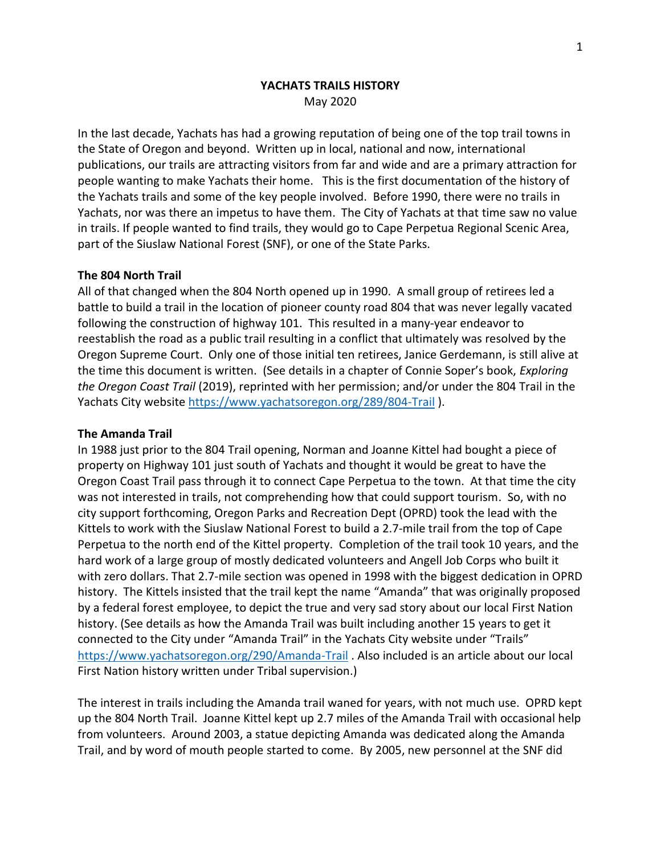# **YACHATS TRAILS HISTORY** May 2020

In the last decade, Yachats has had a growing reputation of being one of the top trail towns in the State of Oregon and beyond. Written up in local, national and now, international publications, our trails are attracting visitors from far and wide and are a primary attraction for people wanting to make Yachats their home. This is the first documentation of the history of the Yachats trails and some of the key people involved. Before 1990, there were no trails in Yachats, nor was there an impetus to have them. The City of Yachats at that time saw no value in trails. If people wanted to find trails, they would go to Cape Perpetua Regional Scenic Area, part of the Siuslaw National Forest (SNF), or one of the State Parks.

### **The 804 North Trail**

All of that changed when the 804 North opened up in 1990. A small group of retirees led a battle to build a trail in the location of pioneer county road 804 that was never legally vacated following the construction of highway 101. This resulted in a many-year endeavor to reestablish the road as a public trail resulting in a conflict that ultimately was resolved by the Oregon Supreme Court. Only one of those initial ten retirees, Janice Gerdemann, is still alive at the time this document is written. (See details in a chapter of Connie Soper's book, *Exploring the Oregon Coast Trail* (2019), reprinted with her permission; and/or under the 804 Trail in the Yachats City website<https://www.yachatsoregon.org/289/804-Trail>).

#### **The Amanda Trail**

In 1988 just prior to the 804 Trail opening, Norman and Joanne Kittel had bought a piece of property on Highway 101 just south of Yachats and thought it would be great to have the Oregon Coast Trail pass through it to connect Cape Perpetua to the town. At that time the city was not interested in trails, not comprehending how that could support tourism. So, with no city support forthcoming, Oregon Parks and Recreation Dept (OPRD) took the lead with the Kittels to work with the Siuslaw National Forest to build a 2.7-mile trail from the top of Cape Perpetua to the north end of the Kittel property. Completion of the trail took 10 years, and the hard work of a large group of mostly dedicated volunteers and Angell Job Corps who built it with zero dollars. That 2.7-mile section was opened in 1998 with the biggest dedication in OPRD history. The Kittels insisted that the trail kept the name "Amanda" that was originally proposed by a federal forest employee, to depict the true and very sad story about our local First Nation history. (See details as how the Amanda Trail was built including another 15 years to get it connected to the City under "Amanda Trail" in the Yachats City website under "Trails" <https://www.yachatsoregon.org/290/Amanda-Trail> . Also included is an article about our local First Nation history written under Tribal supervision.)

The interest in trails including the Amanda trail waned for years, with not much use. OPRD kept up the 804 North Trail. Joanne Kittel kept up 2.7 miles of the Amanda Trail with occasional help from volunteers. Around 2003, a statue depicting Amanda was dedicated along the Amanda Trail, and by word of mouth people started to come. By 2005, new personnel at the SNF did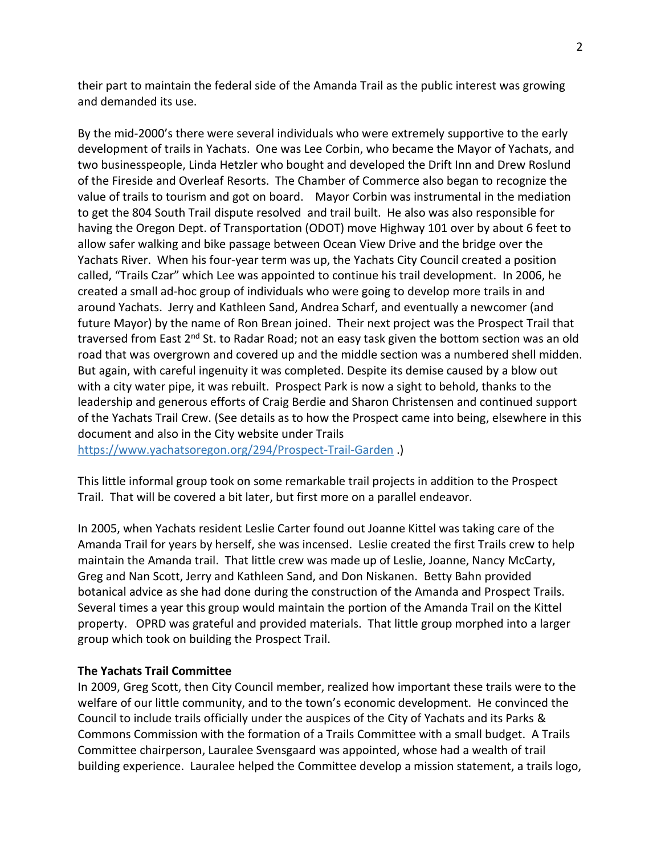their part to maintain the federal side of the Amanda Trail as the public interest was growing and demanded its use.

By the mid-2000's there were several individuals who were extremely supportive to the early development of trails in Yachats. One was Lee Corbin, who became the Mayor of Yachats, and two businesspeople, Linda Hetzler who bought and developed the Drift Inn and Drew Roslund of the Fireside and Overleaf Resorts. The Chamber of Commerce also began to recognize the value of trails to tourism and got on board. Mayor Corbin was instrumental in the mediation to get the 804 South Trail dispute resolved and trail built. He also was also responsible for having the Oregon Dept. of Transportation (ODOT) move Highway 101 over by about 6 feet to allow safer walking and bike passage between Ocean View Drive and the bridge over the Yachats River. When his four-year term was up, the Yachats City Council created a position called, "Trails Czar" which Lee was appointed to continue his trail development. In 2006, he created a small ad-hoc group of individuals who were going to develop more trails in and around Yachats. Jerry and Kathleen Sand, Andrea Scharf, and eventually a newcomer (and future Mayor) by the name of Ron Brean joined. Their next project was the Prospect Trail that traversed from East 2<sup>nd</sup> St. to Radar Road; not an easy task given the bottom section was an old road that was overgrown and covered up and the middle section was a numbered shell midden. But again, with careful ingenuity it was completed. Despite its demise caused by a blow out with a city water pipe, it was rebuilt. Prospect Park is now a sight to behold, thanks to the leadership and generous efforts of Craig Berdie and Sharon Christensen and continued support of the Yachats Trail Crew. (See details as to how the Prospect came into being, elsewhere in this document and also in the City website under Trails

<https://www.yachatsoregon.org/294/Prospect-Trail-Garden> .)

This little informal group took on some remarkable trail projects in addition to the Prospect Trail. That will be covered a bit later, but first more on a parallel endeavor.

In 2005, when Yachats resident Leslie Carter found out Joanne Kittel was taking care of the Amanda Trail for years by herself, she was incensed. Leslie created the first Trails crew to help maintain the Amanda trail. That little crew was made up of Leslie, Joanne, Nancy McCarty, Greg and Nan Scott, Jerry and Kathleen Sand, and Don Niskanen. Betty Bahn provided botanical advice as she had done during the construction of the Amanda and Prospect Trails. Several times a year this group would maintain the portion of the Amanda Trail on the Kittel property. OPRD was grateful and provided materials. That little group morphed into a larger group which took on building the Prospect Trail.

### **The Yachats Trail Committee**

In 2009, Greg Scott, then City Council member, realized how important these trails were to the welfare of our little community, and to the town's economic development. He convinced the Council to include trails officially under the auspices of the City of Yachats and its Parks & Commons Commission with the formation of a Trails Committee with a small budget. A Trails Committee chairperson, Lauralee Svensgaard was appointed, whose had a wealth of trail building experience. Lauralee helped the Committee develop a mission statement, a trails logo,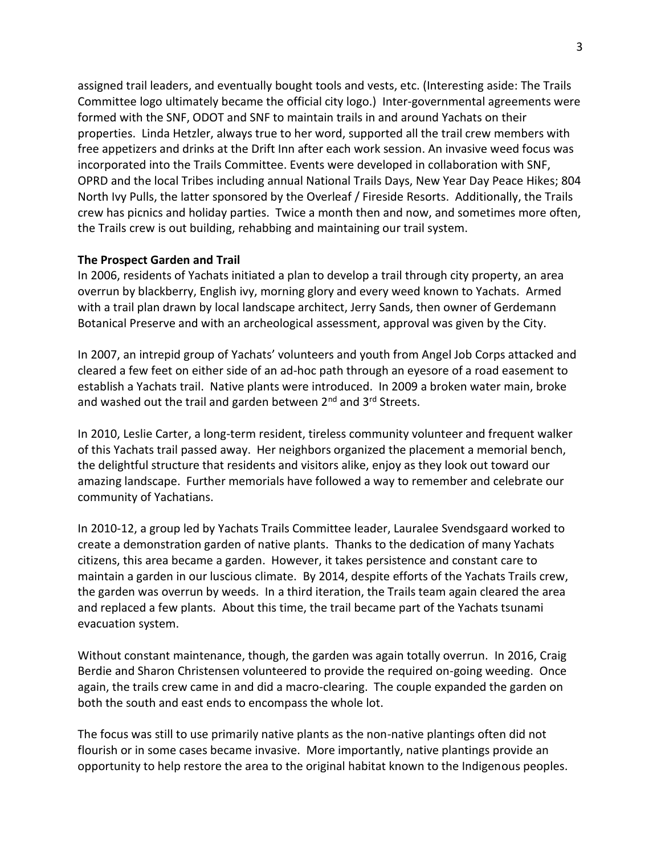assigned trail leaders, and eventually bought tools and vests, etc. (Interesting aside: The Trails Committee logo ultimately became the official city logo.) Inter-governmental agreements were formed with the SNF, ODOT and SNF to maintain trails in and around Yachats on their properties. Linda Hetzler, always true to her word, supported all the trail crew members with free appetizers and drinks at the Drift Inn after each work session. An invasive weed focus was incorporated into the Trails Committee. Events were developed in collaboration with SNF, OPRD and the local Tribes including annual National Trails Days, New Year Day Peace Hikes; 804 North Ivy Pulls, the latter sponsored by the Overleaf / Fireside Resorts. Additionally, the Trails crew has picnics and holiday parties. Twice a month then and now, and sometimes more often, the Trails crew is out building, rehabbing and maintaining our trail system.

## **The Prospect Garden and Trail**

In 2006, residents of Yachats initiated a plan to develop a trail through city property, an area overrun by blackberry, English ivy, morning glory and every weed known to Yachats. Armed with a trail plan drawn by local landscape architect, Jerry Sands, then owner of Gerdemann Botanical Preserve and with an archeological assessment, approval was given by the City.

In 2007, an intrepid group of Yachats' volunteers and youth from Angel Job Corps attacked and cleared a few feet on either side of an ad-hoc path through an eyesore of a road easement to establish a Yachats trail. Native plants were introduced. In 2009 a broken water main, broke and washed out the trail and garden between  $2^{nd}$  and  $3^{rd}$  Streets.

In 2010, Leslie Carter, a long-term resident, tireless community volunteer and frequent walker of this Yachats trail passed away. Her neighbors organized the placement a memorial bench, the delightful structure that residents and visitors alike, enjoy as they look out toward our amazing landscape. Further memorials have followed a way to remember and celebrate our community of Yachatians.

In 2010-12, a group led by Yachats Trails Committee leader, Lauralee Svendsgaard worked to create a demonstration garden of native plants. Thanks to the dedication of many Yachats citizens, this area became a garden. However, it takes persistence and constant care to maintain a garden in our luscious climate. By 2014, despite efforts of the Yachats Trails crew, the garden was overrun by weeds. In a third iteration, the Trails team again cleared the area and replaced a few plants. About this time, the trail became part of the Yachats tsunami evacuation system.

Without constant maintenance, though, the garden was again totally overrun. In 2016, Craig Berdie and Sharon Christensen volunteered to provide the required on-going weeding. Once again, the trails crew came in and did a macro-clearing. The couple expanded the garden on both the south and east ends to encompass the whole lot.

The focus was still to use primarily native plants as the non-native plantings often did not flourish or in some cases became invasive. More importantly, native plantings provide an opportunity to help restore the area to the original habitat known to the Indigenous peoples.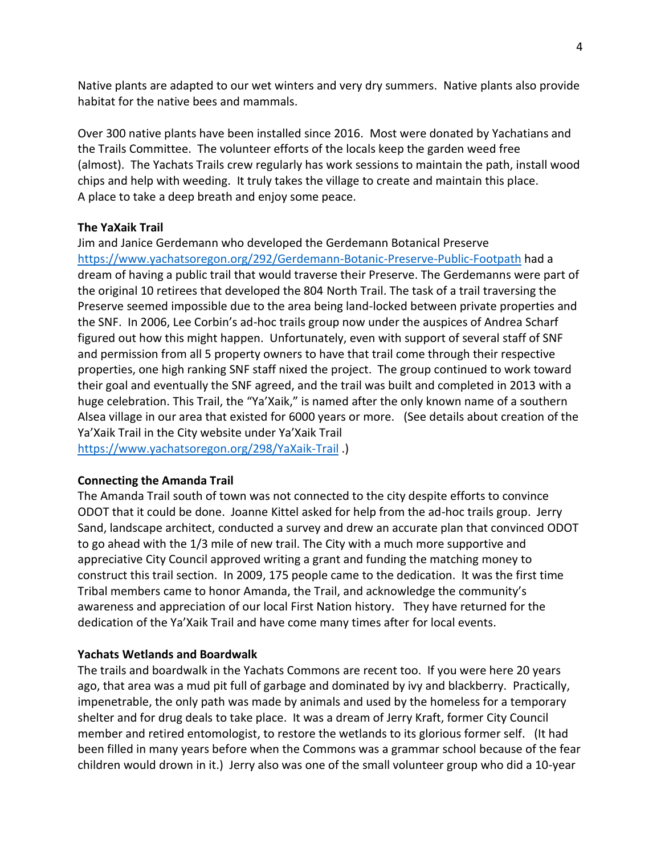Native plants are adapted to our wet winters and very dry summers. Native plants also provide habitat for the native bees and mammals.

Over 300 native plants have been installed since 2016. Most were donated by Yachatians and the Trails Committee. The volunteer efforts of the locals keep the garden weed free (almost). The Yachats Trails crew regularly has work sessions to maintain the path, install wood chips and help with weeding. It truly takes the village to create and maintain this place. A place to take a deep breath and enjoy some peace.

### **The YaXaik Trail**

Jim and Janice Gerdemann who developed the Gerdemann Botanical Preserve [https://www.yachatsoregon.org/292/Gerdemann-Botanic-Preserve-Public-Footpat](https://www.yachatsoregon.org/292/Gerdemann-Botanic-Preserve-Public-Footpa)h had a dream of having a public trail that would traverse their Preserve. The Gerdemanns were part of the original 10 retirees that developed the 804 North Trail. The task of a trail traversing the Preserve seemed impossible due to the area being land-locked between private properties and the SNF. In 2006, Lee Corbin's ad-hoc trails group now under the auspices of Andrea Scharf figured out how this might happen. Unfortunately, even with support of several staff of SNF and permission from all 5 property owners to have that trail come through their respective properties, one high ranking SNF staff nixed the project. The group continued to work toward their goal and eventually the SNF agreed, and the trail was built and completed in 2013 with a huge celebration. This Trail, the "Ya'Xaik," is named after the only known name of a southern Alsea village in our area that existed for 6000 years or more. (See details about creation of the Ya'Xaik Trail in the City website under Ya'Xaik Trail <https://www.yachatsoregon.org/298/YaXaik-Trail> .)

### **Connecting the Amanda Trail**

The Amanda Trail south of town was not connected to the city despite efforts to convince ODOT that it could be done. Joanne Kittel asked for help from the ad-hoc trails group. Jerry Sand, landscape architect, conducted a survey and drew an accurate plan that convinced ODOT to go ahead with the 1/3 mile of new trail. The City with a much more supportive and appreciative City Council approved writing a grant and funding the matching money to construct this trail section. In 2009, 175 people came to the dedication. It was the first time Tribal members came to honor Amanda, the Trail, and acknowledge the community's awareness and appreciation of our local First Nation history. They have returned for the dedication of the Ya'Xaik Trail and have come many times after for local events.

# **Yachats Wetlands and Boardwalk**

The trails and boardwalk in the Yachats Commons are recent too. If you were here 20 years ago, that area was a mud pit full of garbage and dominated by ivy and blackberry. Practically, impenetrable, the only path was made by animals and used by the homeless for a temporary shelter and for drug deals to take place. It was a dream of Jerry Kraft, former City Council member and retired entomologist, to restore the wetlands to its glorious former self. (It had been filled in many years before when the Commons was a grammar school because of the fear children would drown in it.) Jerry also was one of the small volunteer group who did a 10-year